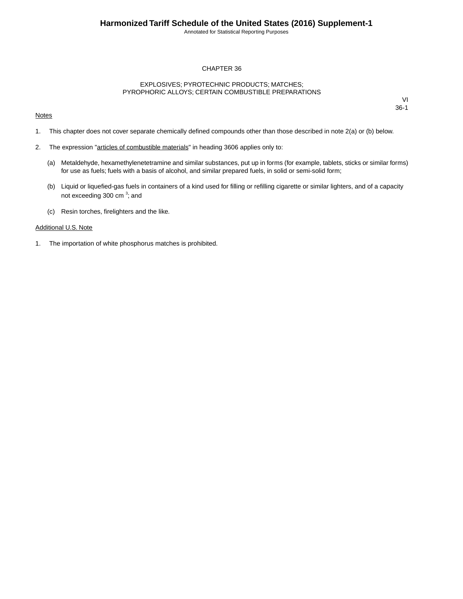Annotated for Statistical Reporting Purposes

## CHAPTER 36

## EXPLOSIVES; PYROTECHNIC PRODUCTS; MATCHES; PYROPHORIC ALLOYS; CERTAIN COMBUSTIBLE PREPARATIONS

#### **Notes**

VI 36-1

- 1. This chapter does not cover separate chemically defined compounds other than those described in note 2(a) or (b) below.
- 2. The expression "articles of combustible materials" in heading 3606 applies only to:
	- (a) Metaldehyde, hexamethylenetetramine and similar substances, put up in forms (for example, tablets, sticks or similar forms) for use as fuels; fuels with a basis of alcohol, and similar prepared fuels, in solid or semi-solid form;
	- (b) Liquid or liquefied-gas fuels in containers of a kind used for filling or refilling cigarette or similar lighters, and of a capacity not exceeding 300 cm<sup>3</sup>; and
	- (c) Resin torches, firelighters and the like.

#### Additional U.S. Note

1. The importation of white phosphorus matches is prohibited.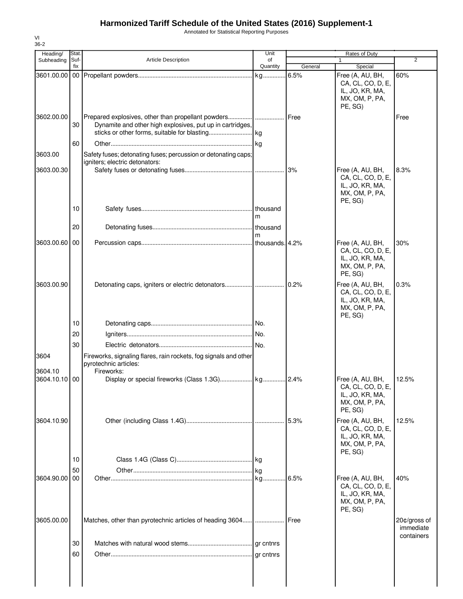## **Harmonized Tariff Schedule of the United States (2016) Supplement-1**

Annotated for Statistical Reporting Purposes

| Heading/                 | Stat.       |                                                                                           | Unit           |               | Rates of Duty                                                                         |                                         |
|--------------------------|-------------|-------------------------------------------------------------------------------------------|----------------|---------------|---------------------------------------------------------------------------------------|-----------------------------------------|
| Subheading               | Suf-<br>fix | <b>Article Description</b>                                                                | of<br>Quantity | General       | $\mathbf{1}$<br>Special                                                               | 2                                       |
| 3601.00.00               |             |                                                                                           |                | 6.5%          | Free (A, AU, BH,<br>CA, CL, CO, D, E,<br>IL, JO, KR, MA,<br>MX, OM, P, PA,<br>PE, SG) | 60%                                     |
| 3602.00.00               | 30<br>60    | Dynamite and other high explosives, put up in cartridges,                                 |                | <b>I</b> Free |                                                                                       | Free                                    |
| 3603.00                  |             | Safety fuses; detonating fuses; percussion or detonating caps;                            |                |               |                                                                                       |                                         |
| 3603.00.30               |             | igniters; electric detonators:                                                            |                |               | Free (A, AU, BH,<br>CA, CL, CO, D, E,<br>IL, JO, KR, MA,<br>MX, OM, P, PA,<br>PE, SG) | 8.3%                                    |
|                          | 10          |                                                                                           | m              |               |                                                                                       |                                         |
|                          | 20          |                                                                                           | m              |               |                                                                                       |                                         |
| 3603.00.60 00            |             |                                                                                           |                |               | Free (A, AU, BH,<br>CA, CL, CO, D, E,<br>IL, JO, KR, MA,<br>MX, OM, P, PA,<br>PE, SG) | 30%                                     |
| 3603.00.90               |             |                                                                                           |                |               | Free (A, AU, BH,<br>CA, CL, CO, D, E,<br>IL, JO, KR, MA,<br>MX, OM, P, PA,<br>PE, SG) | 0.3%                                    |
|                          | 10          |                                                                                           |                |               |                                                                                       |                                         |
|                          | 20          |                                                                                           |                |               |                                                                                       |                                         |
| 3604                     | 30          | Fireworks, signaling flares, rain rockets, fog signals and other<br>pyrotechnic articles: |                |               |                                                                                       |                                         |
| 3604.10<br>3604.10.10 00 |             | Fireworks:                                                                                |                |               | Free (A, AU, BH,<br>CA, CL, CO, D, E,<br>IL, JO, KR, MA,<br>MX, OM, P, PA,<br>PE, SG) | 12.5%                                   |
| 3604.10.90               |             |                                                                                           |                | 5.3%          | Free (A, AU, BH,<br>CA, CL, CO, D, E,<br>IL, JO, KR, MA,<br>MX, OM, P, PA,<br>PE, SG) | 12.5%                                   |
|                          | 10<br>50    |                                                                                           |                |               |                                                                                       |                                         |
| 3604.90.00               | 00          |                                                                                           |                | .16.5%        | Free (A, AU, BH,<br>CA, CL, CO, D, E,<br>IL, JO, KR, MA,<br>MX, OM, P, PA,<br>PE, SG) | 40%                                     |
| 3605.00.00               |             | Matches, other than pyrotechnic articles of heading 3604                                  | .              | Free          |                                                                                       | 20¢/gross of<br>immediate<br>containers |
|                          | 30<br>60    |                                                                                           |                |               |                                                                                       |                                         |
|                          |             |                                                                                           |                |               |                                                                                       |                                         |

VI 36-2